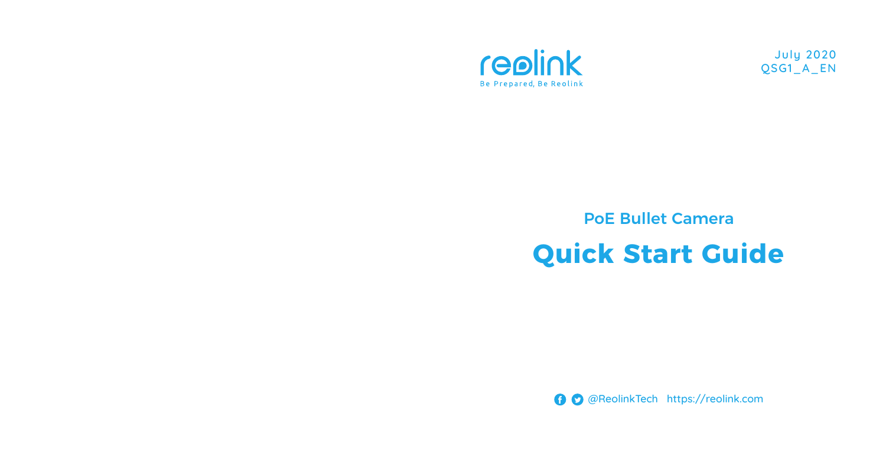

July 2020 QSG1\_A\_EN

# PoE Bullet Camera **Quick Start Guide**

@ReolinkTech https://reolink.com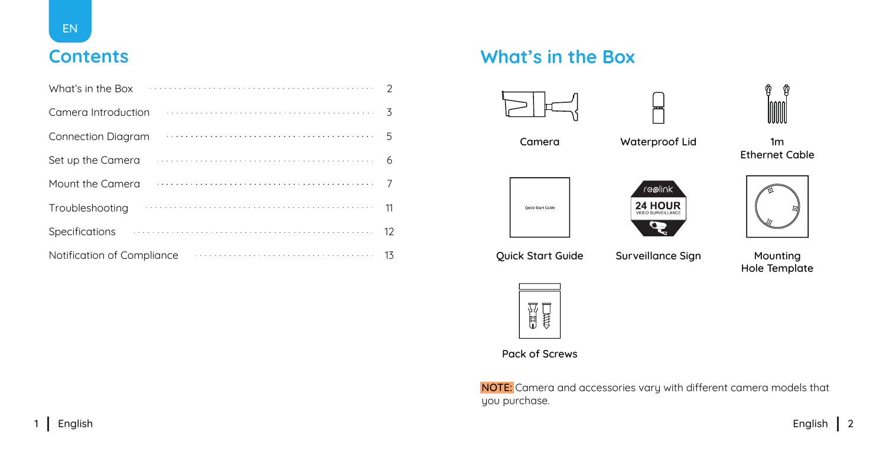

| What's in the Box          |                   |
|----------------------------|-------------------|
| Camera Introduction        |                   |
| <b>Connection Diagram</b>  |                   |
| Set up the Camera          |                   |
| Mount the Camera           |                   |
| Troubleshooting            | 11                |
| Specifications             | $12 \overline{ }$ |
| Notification of Compliance | 13                |

### **Contents What's in the Box**







Camera 1m Waterproof Lid Ethernet Cable





┍



Quick Start Guide Surveillance Sign Mounting

Hole Template



#### Pack of Screws

NOTE: Camera and accessories vary with different camera models that you purchase.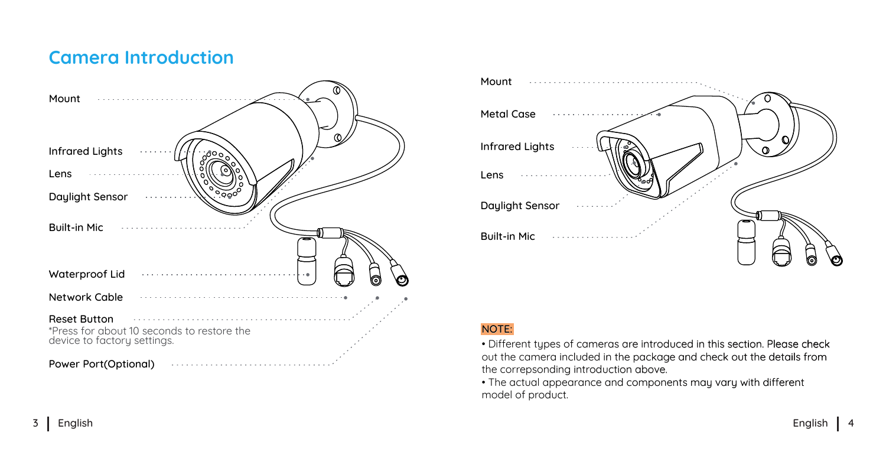### **Camera Introduction**





#### NOTE:

• Different types of cameras are introduced in this section. Please check out the camera included in the package and check out the details from the correpsonding introduction above.

• The actual appearance and components may vary with different model of product.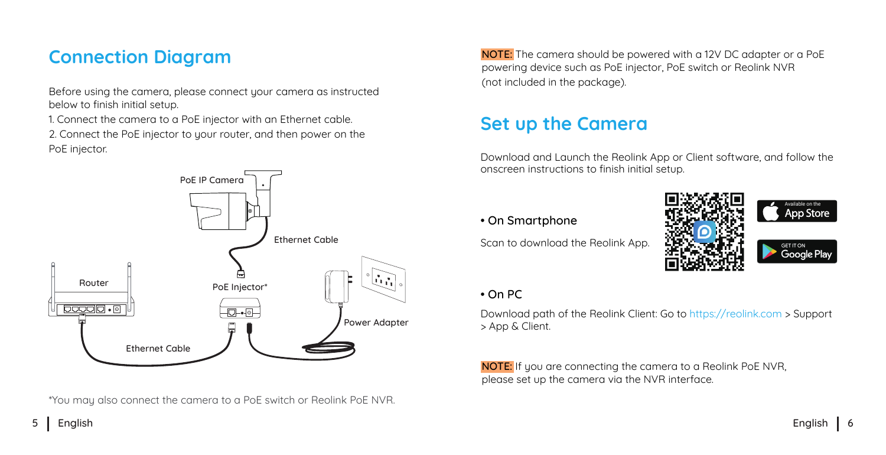### **Connection Diagram**

Before using the camera, please connect your camera as instructed below to finish initial setup.

1. Connect the camera to a PoE injector with an Ethernet cable. 2. Connect the PoE injector to your router, and then power on the PoE injector.



\*You may also connect the camera to a PoE switch or Reolink PoE NVR.

NOTE: The camera should be powered with a 12V DC adapter or a PoE powering device such as PoE injector, PoE switch or Reolink NVR (not included in the package).

### **Set up the Camera**

Download and Launch the Reolink App or Client software, and follow the onscreen instructions to finish initial setup.

#### • On Smartphone

Scan to download the Reolink App.



#### • On PC

Download path of the Reolink Client: Go to https://reolink.com > Support > App & Client.

NOTE: If you are connecting the camera to a Reolink PoE NVR, please set up the camera via the NVR interface.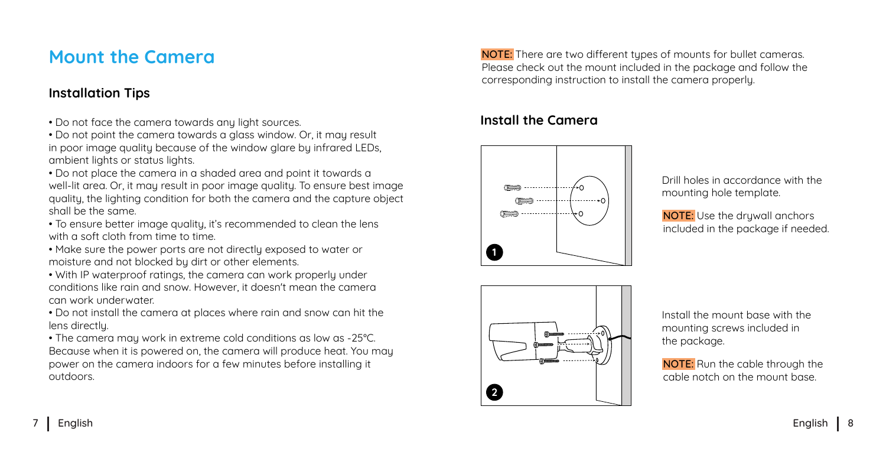### **Mount the Camera**

#### **Installation Tips**

- Do not face the camera towards any light sources.
- Do not point the camera towards a glass window. Or, it may result in poor image quality because of the window glare by infrared LEDs. ambient lights or status lights.
- Do not place the camera in a shaded area and point it towards a well-lit area. Or, it may result in poor image quality. To ensure best image quality, the lighting condition for both the camera and the capture object shall be the same.
- To ensure better image quality, it's recommended to clean the lens with a soft cloth from time to time.
- Make sure the power ports are not directly exposed to water or moisture and not blocked by dirt or other elements.
- With IP waterproof ratings, the camera can work properly under conditions like rain and snow. However, it doesn't mean the camera can work underwater.
- Do not install the camera at places where rain and snow can hit the lens directlu.
- The camera may work in extreme cold conditions as low as -25 °C. Because when it is powered on, the camera will produce heat. You may power on the camera indoors for a few minutes before installing it outdoors.

NOTE: There are two different tupes of mounts for bullet cameras. Please check out the mount included in the package and follow the corresponding instruction to install the camera properly.

#### **Install the Camera**



Drill holes in accordance with the mounting hole template.

NOTE: Use the druwall anchors included in the package if needed.



Install the mount base with the mounting screws included in the package.

NOTE: Run the cable through the cable notch on the mount base.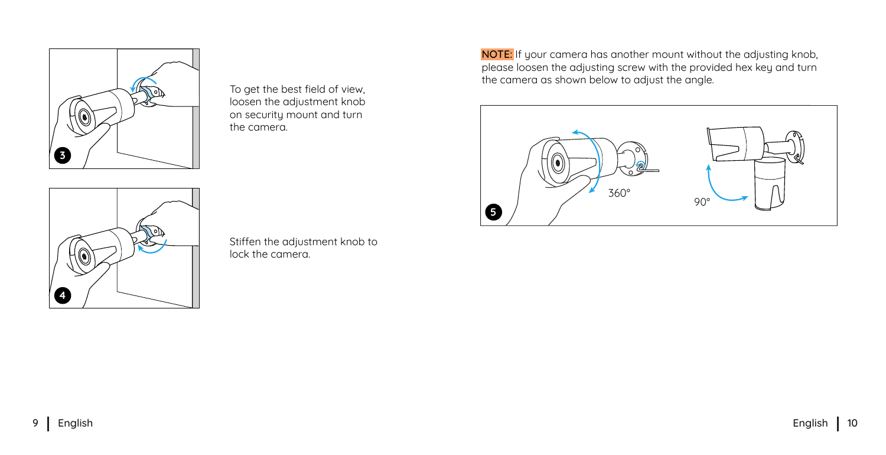

loosen the adjustment knob on security mount and turn the camera.



Stiffen the adjustment knob to lock the camera.

NOTE: If your camera has another mount without the adjusting knob, please loosen the adjusting screw with the provided hex key and turn the camera as shown below to adjust the angle. To get the best field of view,

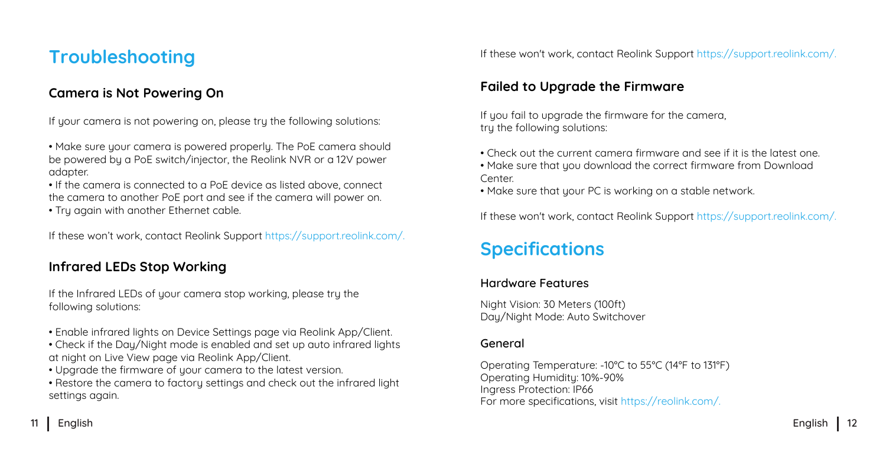### **Troubleshooting**

#### **Camera is Not Powering On**

If your camera is not powering on, please try the following solutions:

- Make sure your camera is powered properly. The PoE camera should be powered by a PoE switch/injector, the Reolink NVR or a 12V power adapter.
- If the camera is connected to a PoE device as listed above, connect the camera to another PoE port and see if the camera will power on.
- Try again with another Ethernet cable.

If these won't work, contact Reolink Support https://support.reolink.com/.

#### **Infrared LEDs Stop Working**

If the Infrared LEDs of your camera stop working, please try the following solutions:

- Enable infrared lights on Device Settings page via Reolink App/Client.
- Check if the Day/Night mode is enabled and set up auto infrared lights at night on Live View page via Reolink App/Client.
- Uparade the firmware of your camera to the latest version.
- Restore the camera to factory settings and check out the infrared light settings again.

If these won't work, contact Reolink Support https://support.reolink.com/.

#### **Failed to Upgrade the Firmware**

If you fail to upgrade the firmware for the camera. tru the following solutions:

- Check out the current camera firmware and see if it is the latest one.
- Make sure that you download the correct firmware from Download **Center**
- Make sure that your PC is working on a stable network.

If these won't work, contact Reolink Support https://support.reolink.com/.

### **Specifications**

#### Hardware Features

Night Vision: 30 Meters (100ft) Day/Night Mode: Auto Switchover

#### General

Operating Temperature: -10°C to 55°C (14°F to 131°F) Operating Humidity: 10%-90% Ingress Protection: IP66 For more specifications, visit https://reolink.com/.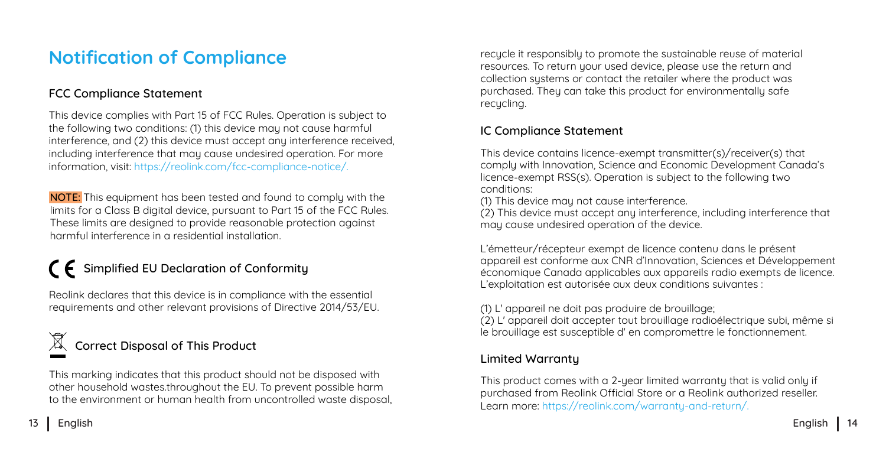### **Notification of Compliance**

#### FCC Compliance Statement

This device complies with Part 15 of FCC Rules. Operation is subject to the following two conditions: (1) this device may not cause harmful interference, and (2) this device must accept any interference received, including interference that may cause undesired operation. For more information, visit: https://reolink.com/fcc-compliance-notice/.

NOTE: This equipment has been tested and found to complu with the limits for a Class B digital device, pursuant to Part 15 of the FCC Rules. These limits are designed to provide reasonable protection against harmful interference in a residential installation.

## $\Gamma$   $\vdash$  Simplified EU Declaration of Conformity

Reolink declares that this device is in compliance with the essential requirements and other relevant provisions of Directive 2014/53/EU.

### Correct Disposal of This Product

This marking indicates that this product should not be disposed with other household wastes.throughout the EU. To prevent possible harm to the environment or human health from uncontrolled waste disposal,

recucle it responsibly to promote the sustainable reuse of material resources. To return your used device, please use the return and collection sustems or contact the retailer where the product was purchased. They can take this product for environmentally safe recycling.

#### IC Compliance Statement

This device contains licence-exempt transmitter(s)/receiver(s) that comply with Innovation, Science and Economic Development Canada's licence-exempt RSS(s). Operation is subject to the following two conditions:

(1) This device may not cause interference.

(2) This device must accept any interference, including interference that may cause undesired operation of the device.

L'émetteur/récepteur exempt de licence contenu dans le présent appareil est conforme aux CNR d'Innovation, Sciences et Développement économique Canada applicables aux appareils radio exempts de licence. L'exploitation est autorisée aux deux conditions suivantes :

(1) L' appareil ne doit pas produire de brouillage;

(2) L' appareil doit accepter tout brouillage radioélectrique subi, même si le brouillage est susceptible d' en compromettre le fonctionnement.

#### Limited Warranty

This product comes with a 2-year limited warranty that is valid only if purchased from Reolink Official Store or a Reolink authorized reseller. Learn more: https://reolink.com/warranty-and-return/.